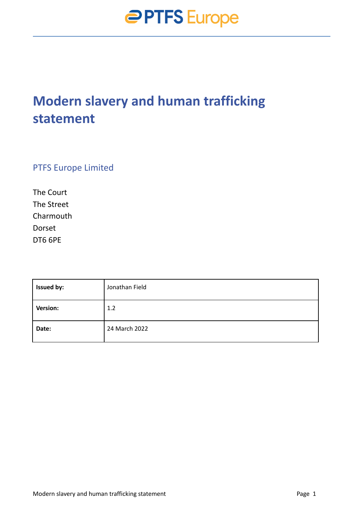### **Modern slavery and human trafficking statement**

PTFS Europe Limited

The Court The Street Charmouth Dorset DT6 6PE

| <b>Issued by:</b> | Jonathan Field |
|-------------------|----------------|
| Version:          | 1.2            |
| Date:             | 24 March 2022  |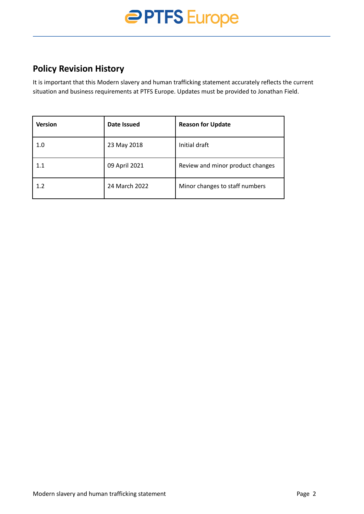# **PPTFS** Europe

#### **Policy Revision History**

It is important that this Modern slavery and human trafficking statement accurately reflects the current situation and business requirements at PTFS Europe. Updates must be provided to Jonathan Field.

| <b>Version</b> | Date Issued   | <b>Reason for Update</b>         |
|----------------|---------------|----------------------------------|
| 1.0            | 23 May 2018   | Initial draft                    |
| 1.1            | 09 April 2021 | Review and minor product changes |
| 1.2            | 24 March 2022 | Minor changes to staff numbers   |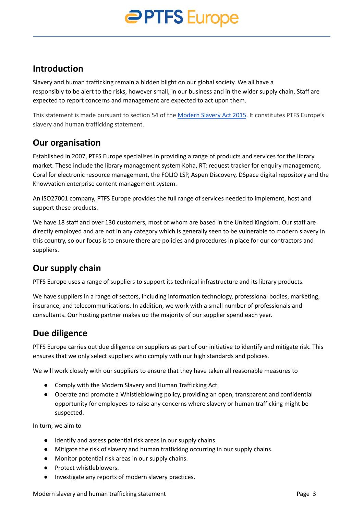# **PTFS** Europe

#### **Introduction**

Slavery and human trafficking remain a hidden blight on our global society. We all have a responsibly to be alert to the risks, however small, in our business and in the wider supply chain. Staff are expected to report concerns and management are expected to act upon them.

This statement is made pursuant to section 54 of the [Modern](https://www.gov.uk/government/collections/modern-slavery-bill) Slavery Act 2015. It constitutes PTFS Europe's slavery and human trafficking statement.

#### **Our organisation**

Established in 2007, PTFS Europe specialises in providing a range of products and services for the library market. These include the library management system Koha, RT: request tracker for enquiry management, Coral for electronic resource management, the FOLIO LSP, Aspen Discovery, DSpace digital repository and the Knowvation enterprise content management system.

An ISO27001 company, PTFS Europe provides the full range of services needed to implement, host and support these products.

We have 18 staff and over 130 customers, most of whom are based in the United Kingdom. Our staff are directly employed and are not in any category which is generally seen to be vulnerable to modern slavery in this country, so our focus is to ensure there are policies and procedures in place for our contractors and suppliers.

#### **Our supply chain**

PTFS Europe uses a range of suppliers to support its technical infrastructure and its library products.

We have suppliers in a range of sectors, including information technology, professional bodies, marketing, insurance, and telecommunications. In addition, we work with a small number of professionals and consultants. Our hosting partner makes up the majority of our supplier spend each year.

#### **Due diligence**

PTFS Europe carries out due diligence on suppliers as part of our initiative to identify and mitigate risk. This ensures that we only select suppliers who comply with our high standards and policies.

We will work closely with our suppliers to ensure that they have taken all reasonable measures to

- Comply with the Modern Slavery and Human Trafficking Act
- Operate and promote a Whistleblowing policy, providing an open, transparent and confidential opportunity for employees to raise any concerns where slavery or human trafficking might be suspected.

In turn, we aim to

- Identify and assess potential risk areas in our supply chains.
- Mitigate the risk of slavery and human trafficking occurring in our supply chains.
- Monitor potential risk areas in our supply chains.
- Protect whistleblowers.
- Investigate any reports of modern slavery practices.